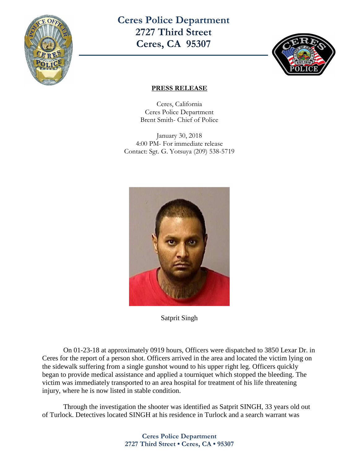

**Ceres Police Department 2727 Third Street Ceres, CA 95307** 



## **PRESS RELEASE**

Ceres, California Ceres Police Department Brent Smith- Chief of Police

January 30, 2018 4:00 PM- For immediate release Contact: Sgt. G. Yotsuya (209) 538-5719



Satprit Singh

On 01-23-18 at approximately 0919 hours, Officers were dispatched to 3850 Lexar Dr. in Ceres for the report of a person shot. Officers arrived in the area and located the victim lying on the sidewalk suffering from a single gunshot wound to his upper right leg. Officers quickly began to provide medical assistance and applied a tourniquet which stopped the bleeding. The victim was immediately transported to an area hospital for treatment of his life threatening injury, where he is now listed in stable condition.

Through the investigation the shooter was identified as Satprit SINGH, 33 years old out of Turlock. Detectives located SINGH at his residence in Turlock and a search warrant was

> **Ceres Police Department 2727 Third Street • Ceres, CA • 95307**